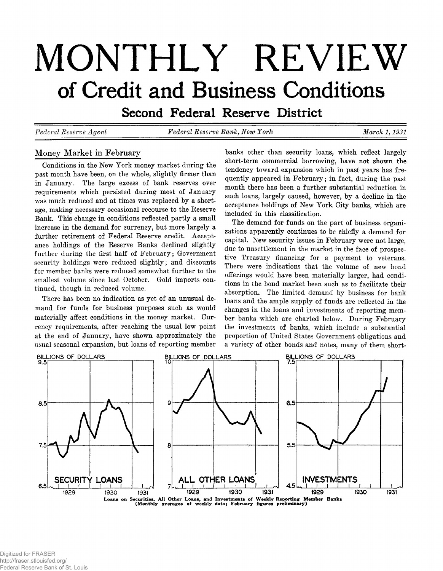# **MONTHLY REVIEW** of Credit and Business Conditions

**Second Federal Reserve District** 

*Federal Eeserve Agent Federal Eeserve Bank, New York March 1,1931*

# **Money Market in February**

**Conditions in the New York money market during the past month have been, on the whole, slightly firmer than in January. The large excess of bank reserves over requirements which persisted during most of January was much reduced and at times was replaced by a shortage, making necessary occasional recourse to the Reserve Bank. This change in conditions reflected partly a small increase in the demand for currency, but more largely a further retirement of Federal Reserve credit. Acceptance holdings of the Reserve Banks declined slightly further during the first half of February; Government security holdings were reduced slightly; and discounts for member banks were reduced somewhat further to the smallest volume since last October. Gold imports continued, though in reduced volume.**

**There has been no indication as yet of an unusual demand for funds for business purposes such as would materially affect conditions in the money market. Currency requirements, after reaching the usual low point at the end of January, have shown approximately the usual seasonal expansion, but loans of reporting member** **banks other than security loans, which reflect largely short-term commercial borrowing, have not shown the tendency toward expansion which in past years has frequently appeared in February; in fact, during the past month there has been a further substantial reduction in such loans, largely caused, however, by a decline in the acceptance holdings of New York City banks, which are included in this classification.**

**The demand for funds on the part of business organizations apparently continues to be chiefly a demand for capital. New security issues in February were not large, due to unsettlement in the market in the face of prospective Treasury financing for a payment to veterans. There were indications that the volume of new bond offerings would have been materially larger, had conditions in the bond market been such as to facilitate their absorption. The limited demand by business for bank loans and the ample supply of funds are reflected in the changes in the loans and investments of reporting member banks which are charted below. During February the investments of banks, which include a substantial proportion of United States Government obligations and a variety of other bonds and notes, many of them short-**

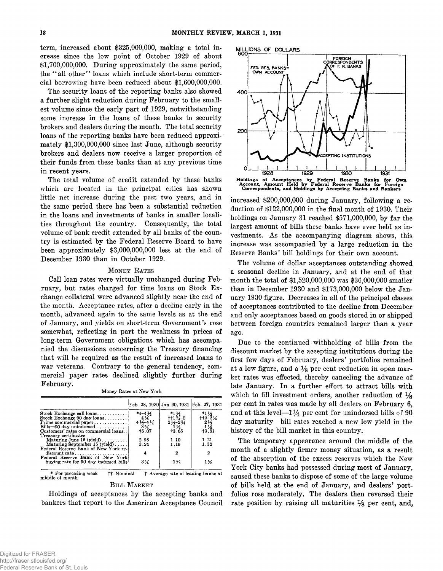**term, increased about \$325,000,000, making a total increase since the low point of October 1929 of about \$1,700,000,000. During approximately the same period, the 4' all other" loans which include short-term commercial borrowing have been reduced about \$1,600,000,000.**

**The security loans of the reporting banks also showed a further slight reduction during February to the smallest volume since the early part of 1929, notwithstanding some increase in the loans of these banks to security brokers and dealers during the month. The total security loans of the reporting banks have been reduced approximately \$1,300,000,000 since last June, although security brokers and dealers now receive a larger proportion of their funds from these banks than at any previous time in recent years.**

**The total volume of credit extended by these banks which are located in the principal cities has shown little net increase during the past two years, and in the same period there has been a substantial reduction in the loans and investments of banks in smaller localities throughout the country. Consequently, the total volume of bank credit extended by all banks of the country is estimated by the Federal Reserve Board to have been approximately \$3,000,000,000 less at the end of December 1930 than in October 1929.**

## **MONEY RATES**

**Call loan rates were virtually unchanged during February, but rates charged for time loans on Stock Exchange collateral were advanced slightly near the end of the month. Acceptance rates, after a decline early in the month, advanced again to the same levels as at the end of January, and yields on short-term Government's rose somewhat, reflecting in part the weakness in prices of long-term Government obligations which has accompanied the discussions concerning the Treasury financing that will be required as the result of increased loans to war veterans. Contrary to the general tendency, commercial paper rates declined slightly further during February.**

**Money Rates at New York**

|                                                     | Feb. 28, 1930 Jan. 30, 1931 Feb. 27, 1931       |                                                  |                                                                                                                                        |
|-----------------------------------------------------|-------------------------------------------------|--------------------------------------------------|----------------------------------------------------------------------------------------------------------------------------------------|
| Stock Exchange call loans                           | $*4 - 4\frac{1}{2}$                             | *1 ½<br>††1 ¾–2                                  | *1½                                                                                                                                    |
| Stock Exchange 90 day loans                         |                                                 |                                                  |                                                                                                                                        |
| Prime commercial paper                              |                                                 |                                                  |                                                                                                                                        |
| Bills-90 day unindorsed $\ldots \ldots \ldots$      | $4\frac{4\frac{3}{4}}{3\frac{1}{4}}\frac{3}{4}$ | $\frac{2\frac{1}{2}-2\frac{3}{4}}{1\frac{1}{2}}$ | $\begin{array}{c}\n+12-2 \\ 2\frac{1}{2} \\ 1\frac{1}{2} \\ 1\frac{1}{2} \\ 1\frac{3}{2} \\ 1\frac{3}{2} \\ 1\frac{3}{2}\n\end{array}$ |
| Customers' rates on commercial loans                | $+5.07$                                         | 13.65                                            |                                                                                                                                        |
| Treasury certificates                               |                                                 |                                                  |                                                                                                                                        |
| Maturing June 15 (yield) $\ldots$                   | 2.98                                            | 1.10                                             | 1.21                                                                                                                                   |
| Maturing September 15 (yield)                       | 3.24                                            | 1.19                                             | 1.32                                                                                                                                   |
| Federal Reserve Bank of New York re-                |                                                 |                                                  |                                                                                                                                        |
| $discount rate. \ldots \ldots \ldots \ldots \ldots$ | 4                                               | 2                                                | 2                                                                                                                                      |
| Federal Reserve Bank of New York                    |                                                 |                                                  |                                                                                                                                        |
| buving rate for 90 day indorsed bills               | $3\%$                                           | $1\frac{5}{2}$                                   | $1\frac{1}{2}$                                                                                                                         |

**† Nominal † Average rate of leading banks at middle of month**

# **BILL MARKET**

**Holdings of acceptances by the accepting banks and bankers that report to the American Acceptance Council**



**Holdings of Acceptances by Federal Reserve Banks for Own Account, Amount Held by Federal Reserve Banks for Foreign Correspondents, and Holdings by Accepting Banks and Bankers**

**increased \$200,000,000 during January, following a reduction of \$122,000,000 in the final month of 1930. Their holdings on January 31 reached \$571,000,000, by far the largest amount of bills these banks have ever held as investments. As the accompanying diagram shows, this increase was accompanied by a large reduction in the Reserve Banks' bill holdings for their own account.**

**The volume of dollar acceptances outstanding showed a seasonal decline in January, and at the end of that month the total of \$1,520,000,000 was \$36,000,000 smaller than in December 1930 and \$173,000,000 below the January 1930 figure. Decreases in all of the principal classes of acceptances contributed to the decline from December and only acceptances based on goods stored in or shipped between foreign countries remained larger than a year ago.**

**Due to the continued withholding of bills from the discount market by the accepting institutions during the first few days of February, dealers' portfolios remained at a low figure, and a** *Ys* **per cent reduction in open market rates was effected, thereby canceling the advance of late January. In a further effort to attract bills with which to fill investment orders, another reduction of** *Ys* **per cent in rates was made by all dealers on February 6,** and at this level— $1\frac{1}{4}$  per cent for unindorsed bills of 90 **day maturity— bill rates reached a new low yield in the history of the bill market in this country.**

**The temporary appearance around the middle of the month of a slightly firmer money situation, as a result of the absorption of the excess reserves which the New York City banks had possessed during most of January, caused these banks to dispose of some of the large volume of bills held at the end of January, and dealers' portfolios rose moderately. The dealers then reversed their rate position by raising all maturities** *Ys* **per cent, and,**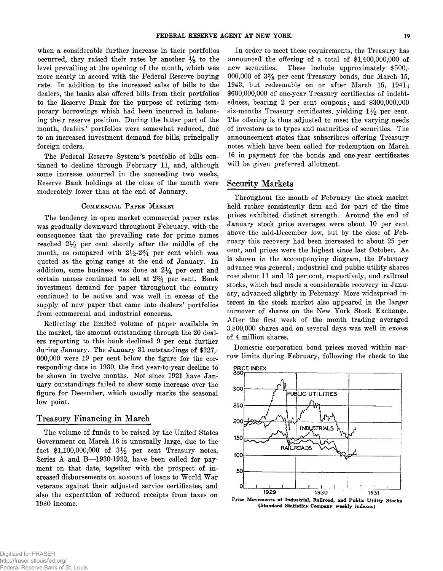**when a considerable further increase in their portfolios occurred, they raised their rates by another** *Ys* **to the level prevailing at the opening of the month, which was more nearly in accord with the Federal Reserve buying rate. In addition to the increased sales of bills to the dealers, the banks also offered bills from their portfolios to the Reserve Bank for the purpose of retiring temporary borrowings which had been incurred in balancing their reserve position. During the latter part of the month, dealers' portfolios were somewhat reduced, due to an increased investment demand for bills, principally foreign orders.**

**The Federal Reserve System's portfolio of bills continued to decline through February 11, and, although some increase occurred in the succeeding two weeks, Reserve Bank holdings at the close of the month were moderately lower than at the end of January.**

## COMMERCIAL PAPER MARKET

**The tendency in open market commercial paper rates was gradually downward throughout February, with the consequence that the prevailing rate for prime names reached 2% per cent shortly after the middle of the** month, as compared with  $2\frac{1}{2}$ - $2\frac{3}{4}$  per cent which was **quoted as the going range at the end of January. In addition, some business was done at** *2%* **per cent and certain names continued to sell at 2% per cent. Bank investment demand for paper throughout the country continued to be active and was well in excess of the supply of new paper that came into dealers' portfolios from commercial and industrial concerns.**

**Reflecting the limited volume of paper available in the market, the amount outstanding through the 20 dealers reporting to this bank declined 9 per cent further during January. The January 31 outstandings of \$327,- 000,000 were 19 per cent below the figure for the corresponding date in 1930, the first year-to-year decline to be shown in twelve months. Not since 1921 have January outstandings failed to show some increase over the figure for December, which usually marks the seasonal low point.**

# **Treasury Financing in March**

**The volume of funds to be raised by the United States Government on March 16 is unusually large, due to the** fact \$1,100,000,000 of  $3\frac{1}{2}$  per cent Treasury notes, Series A and B-1930-1932, have been called for pay**ment on that date, together with the prospect of increased disbursements on account of loans to World War veterans against their adjusted service certificates, and also the expectation of reduced receipts from taxes on 1930 income.**

**In order to meet these requirements, the Treasury has announced the offering of a total of \$1,400,000,000 of new securities. These include approximately \$500,- 000,000 of 3% per cent Treasury bonds, due March 15, 1943, but redeemable on or after March 15, 1941; \$600,000,000 of one-year Treasury certificates of indebtedness, bearing 2 per cent coupons; and \$300,000,000 six-months Treasury certificates, yielding 1** *y2* **per cent. The offering is thus adjusted to meet the varying needs of investors as to types and maturities of securities. The announcement states that subscribers offering Treasury notes which have been called for redemption on March 16 in payment for the bonds and one-year certificates will be given preferred allotment.**

## **Security Markets**

**Throughout the month of February the stock market held rather consistently firm and for part of the time prices exhibited distinct strength. Around the end of January stock price averages were about 10 per cent above the mid-December low, but by the close of February this recovery had been increased to about 25 per cent, and prices were the highest since last October. As is shown in the accompanying diagram, the February advance was general; industrial and public utility shares rose about 11 and 13 per cent, respectively, and railroad stocks, which had made a considerable recovery in January, advanced slightly in February. More widespread interest in the stock market also appeared in the larger turnover of shares on the New York Stock Exchange. After the first week of the month trading averaged 3,800,000 shares and on several days was well in excess of 4 million shares.**

**Domestic corporation bond prices moved within narrow limits during February, following the check to the**



**Price Movements of Industrial, Railroad, and Public Utility Stocks (Standard Statistics Company weekly indexes)**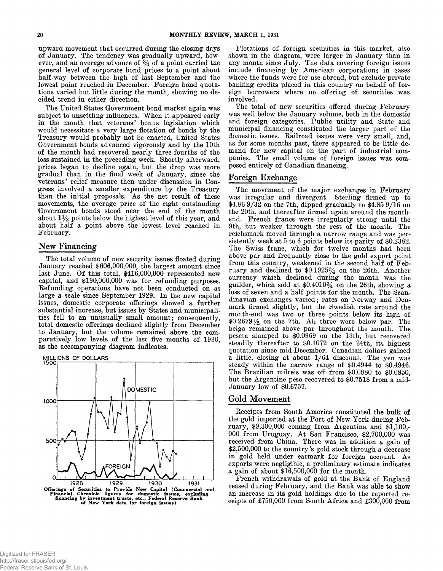**upward movement that occurred during the closing days of January. The tendency was gradually upward, how**ever, and an average advance of  $\frac{3}{4}$  of a point carried the **general level of corporate bond prices to a point about half-way between the high of last September and the lowest point reached in December. Foreign bond quotations varied but little during the month, shewing no decided trend in either direction.**

**The United States Government bond market again was subject to unsettling influences. When it appeared early in the month that veterans' bonus legislation which would necessitate a very large flotation of bonds by the Treasury would probably not be enacted, United States Government bonds advanced vigorously and by the 10th of the month had recovered nearly three-fourths of the loss sustained in the preceding week. Shortly afterward, prices began to decline again, but the drop was more gradual than in the final week of January, since the veterans' relief measure then under discussion in Congress involved a smaller expenditure by the Treasury than the initial proposals. As the net result of these movements, the average price of the eight outstanding Government bonds stood near the end of the month about 1% points below the highest level of this year, and about half a point above the lowest level reached in February.**

# **New Financing**

**The total volume of new security issues floated during January reached \$606,000,000, the largest amount since last June. Of this total, \$416,000,000 represented new capital, and \$190,000,000 was for refunding purposes. Refunding operations have not been conducted on as large a scale since September 1929. In the new capital issues, domestic corporate offerings showed a further substantial increase, but issues by States and municipalities fell to an unusually small amount; consequently, total domestic offerings declined slightly from December to January, but the volume remained above the comparatively low levels of the last five months of 1930, as the accompanying diagram indicates.**

**MILLIONS OF DOLLARS 1500 --------------- DOMESTIC 1000 500** FOREIGN **O**

**Flotations of foreign securities in this market, also shown in the diagram, were larger in January than in any month since July. The data covering foreign issues include financing by American corporations in cases where the funds were for use abroad, but exclude private banking credits placed in this country on behalf of foreign borrowers where no offering of securities was involved.**

**The total of new securities offered during February was well below the January volume, both in the domestic and foreign categories. Public utility and State and municipal financing constituted the larger part of the domestic issues. Railroad issues were very small, and, as for some months past, there appeared to be little demand for new capital on the part of industrial companies. The small volume of foreign issues was composed entirely of Canadian financing.**

# **Foreign Exchange**

**The movement of the major exchanges in February was irregular and divergent. Sterling firmed up to \$4.86 9/32 on the 7th, dipped gradually to \$4.85 9/16 on the 20th, and thereafter firmed again around the monthend. French francs were irregularly strong until the 9th, but weaker through the rest of the month. The reichsmark moved through a narrow range and was persistently weak at 5 to 6 points below its parity of \$0.2382. The Swiss franc, which for twelve months had been above par and frequently close to the gold export point from this country, weakened in the second half of February and declined to \$0.1925% on the 26th. Another currency which declined during the month was the guilder, which sold at \$0.4010% on the 26th, showing a loss of seven and a half points for the month. The Scandinavian exchanges varied; rates on Norway and Denmark firmed slightly, but the Swedish rate around the month-end was two or three points below its high of**  $$0.2679\frac{1}{2}$  on the 7th. All three were below par. The **belga remained above par throughout the month. The peseta slumped to \$0.0969 on the 13th, but recovered steadily thereafter to \$0.1072 on the 24th, its highest quotation since mid-December. Canadian dollars gained a little, closing at about 1/64 discount. The yen was steady within the narrow range of \$0.4944 to \$0.4946. The Brazilian milreis was off from \$0.0880 to \$0.0850, but the Argentine peso recovered to \$0.7518 from a mid-January low of \$0.6757.**

## Gold Movement

**Receipts from South America constituted the bulk of the gold imported at the Port of New York during February, \$9,300,000 coming from Argentina and \$1,100,- 000 from Uruguay. At San Francisco, \$2,700,000 was received from China. There was in addition a gain of \$2,500,000 to the country's gold stock through a decrease in gold held under earmark for foreign account. As exports were negligible, a preliminary estimate indicates a gain of about \$16,500,000 for the month.**

**French withdrawals of gold at the Bank of England ceased during February, and the Bank was able to show an increase in its gold holdings due to the reported receipts of £750,000 from South Africa and £300,000 from**

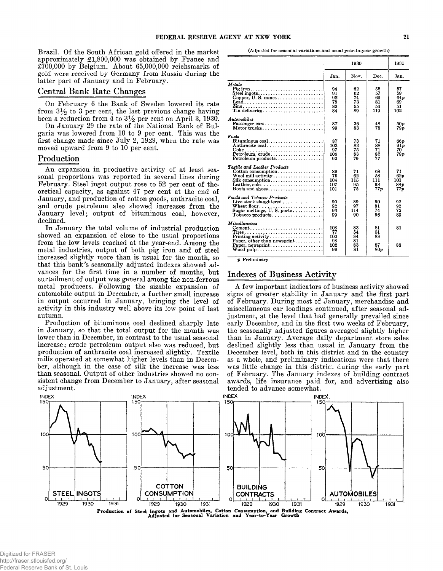**Brazil. Of the South African gold offered in the market approximately £1,800,000 was obtained by France and £700,000 by Belgium. About 65,000,000 reichsmarks of gold were received by Germany from Russia during the latter part of January and in February.**

# **Central Bank Rate Changes**

**On February 6 the Bank of Sweden lowered its rate from 3 to 3 per cent, the last previous change having been a reduction from 4 to 3% per cent on April 3, 1930.**

**On January 29 the rate of the National Bank of Bulgaria was lowered from 10 to 9 per cent. This was the first change made since July 2, 1929, when the rate was moved upward from 9 to 10 per cent.**

# Production

**An expansion in productive activity of at least seasonal proportions was reported in several lines during February. Steel ingot output rose to 52 per cent of theoretical capacity, as against 47 per cent at the end of January, and production of cotton goods, anthracite coal, and crude petroleum also showed increases from the January level; output of bituminous coal, however, declined.**

**In January the total volume of industrial production showed an expansion of close to the usual proportions from the low levels reached at the year-end. Among the metal industries, output of both pig iron and of steel increased slightly more than is usual for the month, so that this bank's seasonally adjusted indexes showed advances for the first time in a number of months, but curtailment of output was general among the non-ferrous metal producers. Following the sizable expansion of automobile output in December, a further small increase in output occurred in January, bringing the level of activity in this industry well above its low point of last autumn.**

**Production of bituminous coal declined sharply late in January, so that the total output for the month was lower than in December, in contrast to the usual seasonal increase; crude petroleum output also was reduced, but production of anthracite coal increased slightly. Textile mills operated at somewhat higher levels than in December, although in the case of silk the increase was less than seasonal. Output of other industries showed no consistent change from December to January, after seasonal adjustment.**

**(Adjusted for seasonal variations and usual year-to-year growth)**

|                                                                                                                                                                            | 1930                                |                                  | 1931                              |                                                |
|----------------------------------------------------------------------------------------------------------------------------------------------------------------------------|-------------------------------------|----------------------------------|-----------------------------------|------------------------------------------------|
|                                                                                                                                                                            | Jan.                                | Nov.                             | Dec.                              | Jan.                                           |
| Metals<br>Pig iron<br>Steel ingots<br>Copper, $U$ , S, mines<br>Lead<br>Tin deliveries                                                                                     | 94<br>91<br>92<br>79<br>83<br>84    | 62<br>62<br>74<br>73<br>55<br>89 | 55<br>57<br>69<br>81<br>54<br>119 | 57<br>59<br>64 <sub>p</sub><br>69<br>51<br>102 |
| Automobiles<br>Passenger cars<br>Motor trucks                                                                                                                              | 87<br>99                            | 36<br>83                         | 48<br>78                          | 50 v<br>79 p                                   |
| Fuels<br>Petroleum, crude<br>Petroleum products                                                                                                                            | 87<br>103<br>97<br>105<br>92        | 73<br>83<br>75<br>83<br>79       | 71<br>88<br>71<br>$\frac{82}{77}$ | 66 p<br>91p<br>70.<br>79p                      |
| Textile and Leather Products<br>Cotton consumption<br>$Silk$ consumption<br>Leather, sole<br>Boots and shoes                                                               | 89<br>75<br>104<br>107<br>101       | 71<br>62<br>115<br>95<br>75      | 68<br>58<br>111<br>98<br>77p      | 71<br>62p<br>101<br>88 p<br>77 o               |
| <b>Foods and Tobacco Products</b><br>Live stock slaughtered                                                                                                                | 90<br>92<br>93<br>99                | 89<br>97<br>114<br>90            | 90<br>91<br>74<br>96              | 92<br>92<br>72<br>89                           |
| <i>Miscellaneous</i><br>$Cement \dots \dots \dots \dots \dots \dots \dots \dots \dots \dots \dots$<br>Printing activity<br>Paper, other than newsprint<br>Paper, newsprint | 108<br>77<br>100<br>98<br>102<br>99 | 83<br>54<br>84<br>81<br>83<br>81 | 81<br>51<br>88<br>87<br>80p       | 81<br>88                                       |

 $p$  Preliminary

# Indexes of Business Activity

**A few important indicators of business activity showed signs of greater stability in January and the first part of February. During most of January, merchandise and miscellaneous car loadings continued, after seasonal adjustment, at the level that had generally prevailed since early December, and in the first two weeks of February, the seasonally adjusted figures averaged slightly higher than in January. Average daily department store sales declined slightly less than usual in January from the December level, both in this district and in the country as a whole, and preliminary indications were that there was little change in this district during the early part of February. The January indexes of building contract awards, life insurance paid for, and advertising also tended to advance somewhat.**

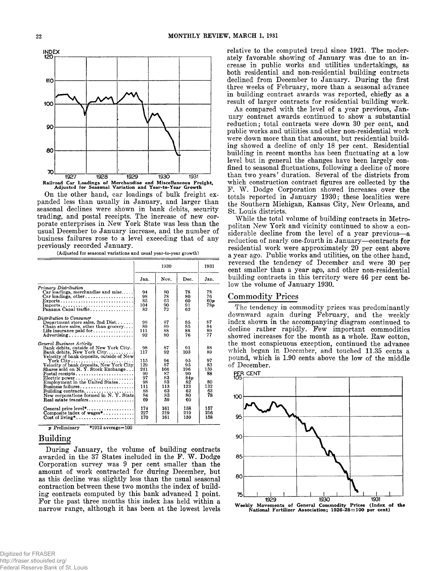

**On the other hand, car loadings of bulk freight expanded less than usually in January, and larger than seasonal declines were shown in bank debits, security trading, and postal receipts. The increase of new corporate enterprises in New York State was less than the usual December to January increase, and the number of business failures rose to a level exceeding that of any previously recorded January.**

|                                                                                                                                                                                                                                                                                                                                                                                                   | 1930                                                                      |                                                                        |                                                                          | 1931                                                       |
|---------------------------------------------------------------------------------------------------------------------------------------------------------------------------------------------------------------------------------------------------------------------------------------------------------------------------------------------------------------------------------------------------|---------------------------------------------------------------------------|------------------------------------------------------------------------|--------------------------------------------------------------------------|------------------------------------------------------------|
|                                                                                                                                                                                                                                                                                                                                                                                                   | Jan.                                                                      | Nov.                                                                   | Dec.                                                                     | Jan.                                                       |
| Primary Distribution<br>$Car$ loadings, merchandise and misc<br>$Car$ loadings, other,<br>$\text{Exports}\dots\dots\dots\dots\dots\dots\dots\dots\dots\dots\dots$<br>$\bf{Imports.}\dots\dots\dots\dots\dots\dots\dots\dots\dots\dots$<br>Panama Canal traffic                                                                                                                                    | 94<br>98<br>85<br>104<br>82                                               | 80<br>78<br>63<br>90<br>72                                             | 78<br>80<br>60<br>91<br>62                                               | 78<br>76<br>60 <sub>p</sub><br>78 p                        |
| Distribution to Consumer<br>Department store sales, 2nd $Dist. \ldots$<br>Chain store sales, other than grocery<br>Life insurance paid for $\dots \dots \dots \dots$<br>Advertising                                                                                                                                                                                                               | 98<br>89<br>111<br>92                                                     | 87<br>89<br>88<br>80                                                   | 85<br>85<br>88<br>76                                                     | 87<br>84<br>89<br>77                                       |
| General Business Activity<br>Bank debits, outside of New York City<br>Bank debits, New York City<br>Velocity of bank deposits, outside of New<br>Velocity of bank deposits, New York City<br>Shares sold on N.Y. Stock Exchange<br>$Postal$ receipts<br>Electric power<br>Employment in the United States<br>Building contracts<br>New corporations formed in N.Y. State<br>Real estate transfers | 98<br>117<br>115<br>129<br>241<br>99<br>97<br>98<br>111<br>88<br>84<br>69 | 87<br>92<br>94<br>87<br>166<br>87<br>83<br>83<br>113<br>63<br>83<br>59 | 91<br>103<br>95<br>95<br>196<br>90<br>84p<br>82<br>123<br>62<br>80<br>60 | 88<br>89<br>97<br>83<br>159<br>88<br>80<br>132<br>63<br>78 |
| General price level*<br>Composite index of wages*<br>$Cost of living *, \ldots, \ldots, \ldots, \ldots, \ldots$                                                                                                                                                                                                                                                                                   | 174<br>227<br>170                                                         | 161<br>219<br>161                                                      | 158<br>219<br>159                                                        | 157<br>216<br>158                                          |

**(Adjusted for seasonal variations and usual year-to-year growth)**

*p* **Preliminary \*1913 average=100**

# **Building**

**During January, the volume of building contracts** awarded in the 37<sup>'</sup> States included in the F. W. Dodge **Corporation survey was 9 per cent smaller than the amount of work contracted for during December, but as this decline was slightly less than the usual seasonal contraction between these two months the index of building contracts computed by this bank advanced 1 point. For the past three months this index has held within a narrow range, although it has been at the lowest levels**

**relative to the computed trend since 1921. The moderately favorable showing of January was due to an increase in public works and utilities undertakings, as both residential and non-residential building contracts declined from December to January. During the first three weeks of February, more than a seasonal advance in building contract awards was reported, chiefly as a result of larger contracts for residential building work.**

**As compared with the level of a year previous, January contract awards continued to show a substantial reduction; total contracts were down 30 per cent, and public works and utilities and other non-residential work were down more than that amount, but residential building showed a decline of only 18 per cent. Residential building in recent months has been fluctuating at a low level but in general the changes have been largely confined to seasonal fluctuations, following a decline of more than two years' duration. Several of the districts from which construction contract figures are collected by the F. W. Dodge Corporation showed increases over the totals reported in January 1930; these localities were the Southern Michigan, Kansas City, New Orleans, and St. Louis districts.**

**While the total volume of building contracts in Metropolitan New York and vicinity continued to show a considerable decline from the level of a year previous— a reduction of nearly one-fourth in January— contracts for residential work were approximately 20 per cent above a year ago. Public works and utilities, on the other hand, reversed the tendency of December and were 30 per cent smaller than a year ago, and other non-residential building contracts in this territory were 46 per cent below the volume of January 1930.**

# **Commodity Prices**

**The tendency in commodity prices was predominantly downward again during February, and the weekly index shown in the accompanying diagram continued to decline rather rapidly. Few important commodities showed increases for the month as a whole. Raw cotton, the most conspicuous exception, continued the advance which began in December, and touched 11.35 cents a pound, which is 1.90 cents above the low of the middle of December.**

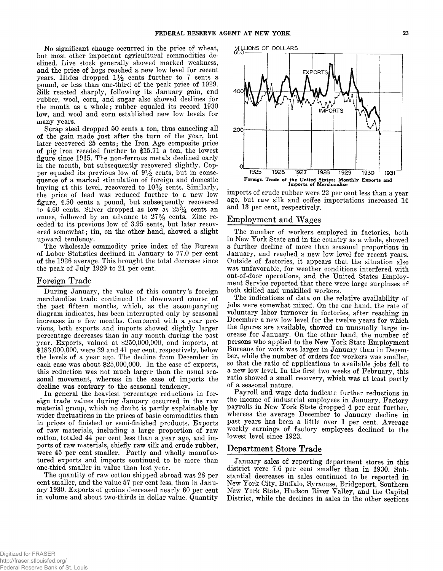**No significant change occurred in the price of wheat, but most other important agricultural commodities declined. Live stock generally showed marked weakness, and the price of hogs reached a new low level for recent** years. Hides dropped  $1\frac{1}{2}$  cents further to 7 cents a **pound, or less than one-third of the peak price of 1929. Silk reacted sharply, following its January gain, and rubber, wool, corn, and sugar also showed declines for the month as a whole; rubber equaled its record 1930 low, and wool and corn established new low levels for many years.**

**Scrap steel dropped 50 cents a ton, thus canceling all of the gain made just after the turn of the year, but later recovered 25 cents; the Iron Age composite price of pig iron receded further to \$15.71 a ton, the lowest figure since 1915. The non-ferrous metals declined early in the month, but subsequently recovered slightly. Cop**per equaled its previous low of  $9\frac{1}{2}$  cents, but in conse**quence of a marked stimulation of foreign and domestic buying at this level, recovered to 10% cents. Similarly, the price of lead was reduced further to a new low figure, 4.50 cents a pound, but subsequently recovered to 4.60 cents. Silver dropped as low as** *25%* **cents an ounce, followed by an advance to 27% cents. Zinc receded to its previous low of 3.95 cents, but later recovered somewhat; tin, on the other hand, showed a slight upward tendency.**

**The wholesale commodity price index of the Bureau of Labor Statistics declined in January to 77.0 per cent of the 1926 average. This brought the total decrease since the peak of July 1929 to 21 per cent.**

## **Foreign Trade**

**During January, the value of this country's foreign merchandise trade continued the downward course of the past fifteen months, which, as the accompanying diagram indicates, has been interrupted only by seasonal increases in a few months. Compared with a year previous, both exports and imports showed slightly larger percentage decreases than in any month during the past year. Exports, valued at \$250,000,000, and imports, at \$183,000,000, were 39 and 41 per cent, respectively, below the levels of a year ago. The decline from December in each case was about \$25,000,000. In the case of exports, this reduction was not much larger than the usual seasonal movement, whereas in the case of imports the decline was contrary to the seasonal tendency.**

**In general the heaviest percentage reductions in foreign trade values during January occurred in the raw material group, which no doubt is partly explainable by wider fluctuations in the prices of basic commodities than in prices of finished or semi-finished products. Exports of raw materials, including a large proportion of raw cotton, totaled 44 per cent less than a year ago, and imports of raw materials, chiefly raw silk and crude rubber, were 45 per cent smaller. Partly and wholly manufactured exports and imports continued to be more than one-third smaller in value than last year.**

**The quantity of raw cotton shipped abroad was 28 per cent smaller, and the value 57 per cent less, than in January 1930. Exports of grains decreased nearly 60 per cent in volume and about two-thirds in dollar value. Quantity**



**imports of crude rubber were 22 per cent less than a year ago, but raw silk and coffee importations increased 14 and 13 per cent, respectively.**

# **Employment and Wages**

**The number of workers employed in factories, both in New York State and in the country as a whole, showed a further decline of more than seasonal proportions in January, and reached a new low level for recent years. Outside of factories, it appears that the situation also was unfavorable, for weather conditions interfered with out-of-door operations, and the United States Employment Service reported that there were large surpluses of both skilled and unskilled workers.**

**The indications of data on the relative availability of jobs were somewhat mixed. On the one hand, the rate of voluntary labor turnover in factories, after reaching in December a new low level for the twelve years for which the figures are available, showed an unusually large increase for January. On the other hand, the number of persons who applied to the New York State Employment Bureaus for work was larger in January than in December, while the number of orders for workers was smaller, so that the ratio of applications to available jobs fell to a new low level. In the first two weeks of February, this ratio showed a small recovery, which was at least partly of a seasonal nature.**

**Payroll and wage data indicate further reductions in the income of industrial employees in January. Factory payrolls in New York State dropped 4 per cent further, whereas the average December to January decline in past years has been a little over 1 per cent. Average weekly earnings of factory employees declined to the lowest level since 1923.**

# **Department Store Trade**

**January sales of reporting department stores in this district were 7.6 per cent smaller than in 1930. Substantial decreases in sales continued to be reported in New York City, Buffalo, Syracuse, Bridgeport, Southern New York State, Hudson River Valley, and the Capital District, while the declines in sales in the other sections**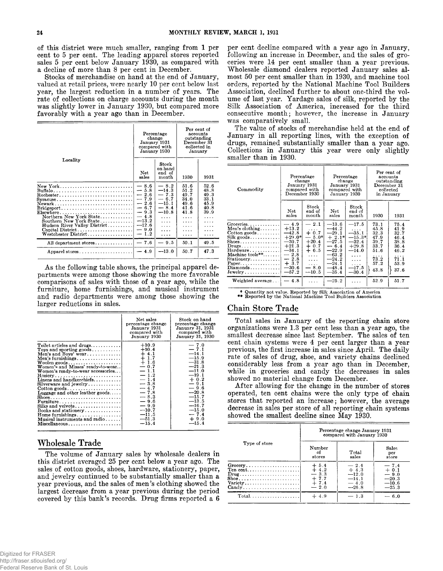**of this district were much smaller, ranging from 1 per cent to 5 per cent. The leading apparel stores reported sales 5 per cent below January 1930, as compared with a decline of more than 8 per cent in December.**

**Stocks of merchandise on hand at the end of January, valued at retail prices, were nearly 10 per cent below last year, the largest reduction in a number of years. The rate of collections on charge accounts during the month was slightly lower in January 1930, but compared more favorably with a year ago than in December.**

|                                                                                                                                                                                                                                                                                                                 | Percentage<br>change<br>January 1931<br>compared with<br>January 1930                                                                           |                                                                                                                                        | Per cent of<br>accounts<br>outstanding<br>December 31<br>collected in<br>January     |                                                                     |
|-----------------------------------------------------------------------------------------------------------------------------------------------------------------------------------------------------------------------------------------------------------------------------------------------------------------|-------------------------------------------------------------------------------------------------------------------------------------------------|----------------------------------------------------------------------------------------------------------------------------------------|--------------------------------------------------------------------------------------|---------------------------------------------------------------------|
| Locality                                                                                                                                                                                                                                                                                                        | Net.<br>sales                                                                                                                                   | $_{\rm Stock}$<br>on hand<br>end of<br>month                                                                                           | 1930                                                                                 | 1931                                                                |
| New York<br>Syracuse<br>Newark<br>$\text{Bridgeport.} \dots \dots \dots \dots \dots \dots \dots \dots$<br>$Elsewhere \ldots \ldots \ldots \ldots \ldots \ldots \ldots \ldots$<br>Northern New York State<br>Southern New York State<br>Hudson River Valley District<br>Capital District<br>Westchester District | $-8.6$<br>$-5.8$<br>$-2.6$<br>$-7.9$<br>$-2.6$<br>$-6.7$<br>$-9.3$<br>$-4.8$<br>$-13.2$<br>$-12.6$<br>$-9.0$<br>1.2<br>$\overline{\phantom{0}}$ | $-8.2$<br>$-14.3$<br>$-7.3$<br>$-6.7$<br>$-15.1$<br>$-8.4$<br>$-10.8$<br>$\cdots$<br>$\sim$ $\sim$ $\sim$<br>.<br>$\cdots$<br>$\cdots$ | 51.6<br>51.2<br>49.7<br>34.0<br>49.6<br>41.6<br>41.8<br>$\cdots$<br>.<br>.<br>.<br>. | 52.6<br>48.8<br>49.3<br>33.1<br>45.9<br>40.8<br>39.9<br>.<br>.<br>. |
| All department stores                                                                                                                                                                                                                                                                                           | $-7.6$                                                                                                                                          | $-9.5$                                                                                                                                 | 50.1                                                                                 | 49.5                                                                |
| Apparel stores                                                                                                                                                                                                                                                                                                  | $-4.9$                                                                                                                                          | $-13.0$                                                                                                                                | 50.7                                                                                 | 47.3                                                                |

**As the following table shows, the principal apparel departments were among those showing the more favorable comparisons of sales with those of a year ago, while the furniture, home furnishings, and musical instrument and radio departments were among those showing the larger reductions in sales.**

|                                                                                                                                                                                                                                                                                                                                                                                                                                                                                                                                                                                                           | Net sales<br>percentage change<br>January 1931<br>compared with<br>January 1930                                                                                                                   | Stock on hand<br>percentage change<br>January 31, 1931<br>compared with<br>January 31, 1930                                                                                                            |
|-----------------------------------------------------------------------------------------------------------------------------------------------------------------------------------------------------------------------------------------------------------------------------------------------------------------------------------------------------------------------------------------------------------------------------------------------------------------------------------------------------------------------------------------------------------------------------------------------------------|---------------------------------------------------------------------------------------------------------------------------------------------------------------------------------------------------|--------------------------------------------------------------------------------------------------------------------------------------------------------------------------------------------------------|
| Toilet articles and drugs<br>Toys and sporting goods<br>Men's and Boys' wear<br>Men's furnishings<br>Women's and Misses' ready-to-wear<br>Women's ready-to-wear accessories<br>$Hosiery \ldots \ldots \ldots \ldots \ldots \ldots \ldots \ldots$<br>Linens and handkerchiefs<br>$Silverware$ and jewelry<br>$\text{Cottom goods} \dots \dots \dots \dots \dots \dots \dots$<br>Luggage and other leather goods<br>$\textbf{Furniture} \dots \dots \dots \dots \dots \dots \dots \dots$<br>Silks and velvets<br>Books and stationery<br>Home furnishings<br>Musical instruments and radio<br>Miscellaneous | $+10.9$<br>$+10.4$<br>$+4.1$<br>$\frac{1}{4}$ 1.7<br>$-0.7$<br>$-1.1$<br>$-1.2$<br>$-1.4$<br>$-3.8$<br>$-4.7$<br>$-7.8$<br>$-8.3$<br>$-9.6$<br>$-9.9$<br>$-10.7$<br>$-11.5$<br>$-51.3$<br>$-15.4$ | $-7.0$<br>$-7.1$<br>$-14.1$<br>$-15.9$<br>$-31.8$<br>$-21.3$<br>$-11.0$<br>$-19.1$<br>$+0.2$<br>$-9.1$<br>$-9.6$<br>$-20.8$<br>$-15.7$<br>$-13.5$<br>$-16.7$<br>$-15.0$<br>$-7.4$<br>$+9.0$<br>$-15.4$ |

# **Wholesale Trade**

**The volume of January sales by wholesale dealers in this district averaged 25 per cent below a year ago. The sales of cotton goods, shoes, hardware, stationery, paper, and jewelry continued to be substantially smaller than a year previous, and the sales of men's clothing showed the largest decrease from a year previous during the period covered by this bank's records. Drug firms reported a 6**

**per cent decline compared with a year ago in January, following an increase in December, and the sales of groceries were 14 per cent smaller than a year previous. Wholesale diamond dealers reported January sales almost 50 per cent smaller than in 1930, and machine tool orders, reported by the National Machine Tool Builders Association, declined further to about one-third the volume of last year. Yardage sales of silk, reported by the Silk Association of America, increased for the third consecutive month; however, the increase in January was comparatively small.**

**The value of stocks of merchandise held at the end of January in all reporting lines, with the exception of drugs, remained substantially smaller than a year ago. Collections in January this year were only slightly smaller than in 1930.**

| Commodity                                                                                                                                                                                                                                                                                        | Percentage<br>change<br>January 1931<br>compared with<br>December 1930                                                        |                                                                                                                                                                          | Percentage<br>change<br>January 1931<br>compared with<br>January 1930                                                           |                                                                                                                  | Per cent of<br>accounts<br>outstanding<br>December 31<br>collected<br>in Januarv  |                                                                                   |
|--------------------------------------------------------------------------------------------------------------------------------------------------------------------------------------------------------------------------------------------------------------------------------------------------|-------------------------------------------------------------------------------------------------------------------------------|--------------------------------------------------------------------------------------------------------------------------------------------------------------------------|---------------------------------------------------------------------------------------------------------------------------------|------------------------------------------------------------------------------------------------------------------|-----------------------------------------------------------------------------------|-----------------------------------------------------------------------------------|
|                                                                                                                                                                                                                                                                                                  | <b>Net</b><br>sales                                                                                                           | Stock<br>end of<br>month                                                                                                                                                 | Net<br>sales                                                                                                                    | Stock<br>end of<br>month                                                                                         | 1930                                                                              | 1931                                                                              |
| Groceries<br>Men's clothing<br>$Cotton goods \ldots$<br>$Silk$ goods<br>$\text{Shoes}\ldots\ldots\ldots\ldots\ldots\ldots$<br>$Drugs \ldots \ldots \ldots \ldots$<br>Hardware<br>Machine tools $**$<br>Stationery<br>Paper.<br>$Diamonds \ldots \ldots \ldots$<br>$Jewelry \ldots \ldots \ldots$ | $-4.9$<br>$+13.2$<br>$-42.8$<br>$+29.0*$<br>$-30.7$<br>$+21.3$<br>$-34.1$<br>$-2.8$<br>$-2.8$<br>$+3.7$<br>$-30.6$<br>$-57.2$ | $-2.1$<br>$\cdots$<br>$+0.7$<br>$5.0*$<br>$\overbrace{\phantom{aaaaa}}$<br>$+20.4$<br>$+0.7$<br>$+6.5$<br>$\overline{a}$ . $\overline{a}$<br>.<br>.<br>$-8.0$<br>$-10.5$ | $-13.6$<br>$-44.2$<br>$-29.1$<br>$+2.1*$<br>$-27.5$<br>$-6.4$<br>$-22.9$<br>$-63.2$<br>$-24.2$<br>$-24.1$<br>$-48.4$<br>$-35.4$ | $-17.5$<br>.<br>$-35.1$<br>$-15.3*$<br>$-32.4$<br>$+29.8$<br>$-14.0$<br>.<br>$\cdots$<br>.<br>$-17.5$<br>$-30.4$ | 73.1<br>45.8<br>32.3<br>47.9<br>39.7<br>33.7<br>51.6<br>.<br>73.2<br>57.2<br>43.8 | 75.4<br>41.9<br>32.7<br>46.4<br>38.8<br>36.4<br>46.2<br>.<br>71.1<br>53.9<br>37.6 |
| Weighted average                                                                                                                                                                                                                                                                                 | $-4.8$                                                                                                                        | .                                                                                                                                                                        | $-25.2$                                                                                                                         |                                                                                                                  | 52.9                                                                              | 51.7                                                                              |

**\* Quantity not value. Reported by Silk Association of America \*\* Reported by the National Machine Tool Builders Association**

## **Chain Store Trade**

**Total sales in January of the reporting chain store organizations were 1.3 per cent less than a year ago, the smallest decrease since last September. The sales of ten cent chain systems were 4 per cent larger than a year previous, the first increase in sales since April. The daily rate of sales of drug, shoe, and variety chains declined considerably less from a year ago than in December, while in groceries and candy the decreases in sales showed no material change from December.**

**After allowing for the change in the number of stores operated, ten cent chains were the only type of chain stores that reported an increase; however, the average decrease in sales per store of all reporting chain systems showed the smallest decline since May 1930.**

|                                                                                                                                                                  | Percentage change January 1931<br>compared with January 1930 |                                                             |                                                              |  |
|------------------------------------------------------------------------------------------------------------------------------------------------------------------|--------------------------------------------------------------|-------------------------------------------------------------|--------------------------------------------------------------|--|
| Type of store                                                                                                                                                    | Number<br>Ωf<br>stores                                       | Total<br>sales                                              | Sales<br>per<br>store                                        |  |
| $Group \ldots \ldots \ldots \ldots \ldots \ldots$<br>Ten cent<br>$\text{Drug}\dots\dots\dots\dots\dots\dots\dots\dots\dots$<br>$\text{Varity}$<br>$\text{Candy}$ | $+ 5.4$<br>$+4.2$<br>$-3.3$<br>$+7.7$<br>$+7.4$<br>$-2.0$    | $-2.4$<br>$+4.3$<br>$-12.0$<br>$-14.1$<br>$-4.0$<br>$-26.8$ | $-7.4$<br>$+ 0.1$<br>$-9.0$<br>$-20.3$<br>$-10.6$<br>$-25.3$ |  |
| $Total. \ldots \ldots \ldots \ldots \ldots$                                                                                                                      | $+4.9$                                                       | $-1.3$                                                      | $-6.0$                                                       |  |